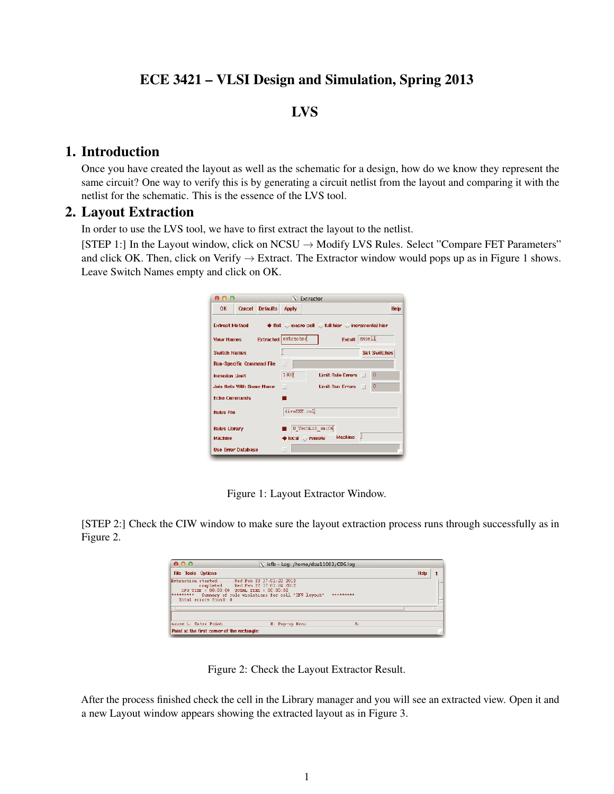# ECE 3421 – VLSI Design and Simulation, Spring 2013

## LVS

#### 1. Introduction

Once you have created the layout as well as the schematic for a design, how do we know they represent the same circuit? One way to verify this is by generating a circuit netlist from the layout and comparing it with the netlist for the schematic. This is the essence of the LVS tool.

#### 2. Layout Extraction

In order to use the LVS tool, we have to first extract the layout to the netlist.

[STEP 1:] In the Layout window, click on  $NCSU \rightarrow Modify LVS$  Rules. Select "Compare FET Parameters" and click OK. Then, click on Verify  $\rightarrow$  Extract. The Extractor window would pops up as in Figure 1 shows. Leave Switch Names empty and click on OK.

| AA                               |               |                     |               | $N$ Extractor                                      |                                                                                                   |                     |
|----------------------------------|---------------|---------------------|---------------|----------------------------------------------------|---------------------------------------------------------------------------------------------------|---------------------|
| 0K                               | <b>Cancel</b> | <b>Defaults</b>     | Apply         |                                                    |                                                                                                   | Help                |
| <b>Extract Method</b>            |               |                     |               |                                                    | $\blacklozenge$ flat $\heartsuit$ macro cell $\heartsuit$ full hier $\heartsuit$ incremental hier |                     |
| View Names                       |               | Extracted extracted |               |                                                    | Excell excell                                                                                     |                     |
| <b>Suitch Names</b>              |               |                     |               |                                                    |                                                                                                   | <b>Set Switches</b> |
| <b>Run-Specific Command File</b> |               |                     | □             |                                                    |                                                                                                   |                     |
| <b>Inclusion Limit</b>           |               |                     | 1000          |                                                    | Limit Rule Errors   0                                                                             |                     |
| <b>Join Nets With Same Name</b>  |               |                     | п             |                                                    | Limit Run Errors                                                                                  | o                   |
| <b>Echo Commands</b>             |               |                     |               |                                                    |                                                                                                   |                     |
| <b>Rules File</b>                |               |                     | divaEXT, cull |                                                    |                                                                                                   |                     |
| Rules Library                    |               |                     |               | U TechLib_amiOg                                    |                                                                                                   |                     |
| Machine                          |               |                     |               | $\blacklozenge$ local $\blacktriangleright$ remote | Machine !!                                                                                        |                     |
| <b>Use Error Database</b>        |               |                     |               |                                                    |                                                                                                   |                     |

Figure 1: Layout Extractor Window.

[STEP 2:] Check the CIW window to make sure the layout extraction process runs through successfully as in Figure 2.

| 000<br>$X$ icfb - Log: /home/doz11003/CDS.log |                                            |                                                                                                                                                                                                       |      |   |  |
|-----------------------------------------------|--------------------------------------------|-------------------------------------------------------------------------------------------------------------------------------------------------------------------------------------------------------|------|---|--|
| <b>File Tools Options</b>                     |                                            |                                                                                                                                                                                                       | Help |   |  |
| *********                                     | Total errors found: 0                      | Extraction started Wed Peb 22 17:01:22 2012<br>completed  Wed Peb 22 17:01:24 2012<br>CPU TIME = $00:00:00$ TOTAL TIME = $00:00:02$<br>Summary of rule violations for cell "INV lavout"<br>********** |      | ŧ |  |
| k.                                            |                                            |                                                                                                                                                                                                       |      |   |  |
| nouse L: Enter Point                          |                                            | R:<br>N: Pop-up Nenu                                                                                                                                                                                  |      |   |  |
|                                               | Point at the first comer of the rectangle: |                                                                                                                                                                                                       |      |   |  |

Figure 2: Check the Layout Extractor Result.

After the process finished check the cell in the Library manager and you will see an extracted view. Open it and a new Layout window appears showing the extracted layout as in Figure 3.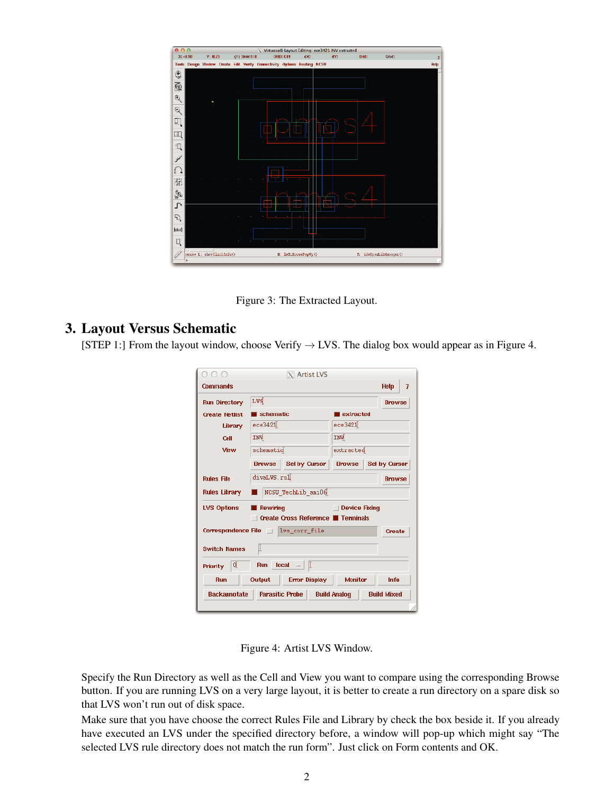

Figure 3: The Extracted Layout.

### 3. Layout Versus Schematic

[STEP 1:] From the layout window, choose Verify  $\rightarrow$  LVS. The dialog box would appear as in Figure 4.

| Commands                                               |                                           |                  | <b>Help</b><br>7 |  |
|--------------------------------------------------------|-------------------------------------------|------------------|------------------|--|
| <b>Run Directory</b>                                   | rad                                       |                  | <b>Browse</b>    |  |
|                                                        |                                           |                  |                  |  |
| <b>Create Netlist</b>                                  | schematic                                 | <b>Extracted</b> |                  |  |
| Library                                                | ece3421)                                  | ece3421)         |                  |  |
| Cell                                                   | INÝ                                       | INV              |                  |  |
| View                                                   | schematic                                 | extracted        |                  |  |
|                                                        | Sel by Cursor<br><b>Browse</b>            | <b>Browse</b>    | Sel by Cursor    |  |
| <b>Rules File</b>                                      | divaLVS.rul                               |                  | <b>Browse</b>    |  |
| <b>Rules Library</b>                                   | NCSU TechLib ami06                        |                  |                  |  |
| <b>LVS Options</b><br>Rewiring<br><b>Device Fixing</b> |                                           |                  |                  |  |
|                                                        | Create Cross Reference <b>T</b> Terminals |                  |                  |  |
|                                                        | Correspondence File   lvs_corr_file       |                  | Create           |  |
| <b>Switch Names</b>                                    | U.                                        |                  |                  |  |
| IQ.<br><b>Priority</b>                                 | Run local $=$                             |                  |                  |  |
| <b>Run</b>                                             | Output  <br><b>Error Display</b>          | <b>Monitor</b>   | Info             |  |
|                                                        |                                           |                  |                  |  |

Figure 4: Artist LVS Window.

Specify the Run Directory as well as the Cell and View you want to compare using the corresponding Browse button. If you are running LVS on a very large layout, it is better to create a run directory on a spare disk so that LVS won't run out of disk space.

Make sure that you have choose the correct Rules File and Library by check the box beside it. If you already have executed an LVS under the specified directory before, a window will pop-up which might say "The selected LVS rule directory does not match the run form". Just click on Form contents and OK.